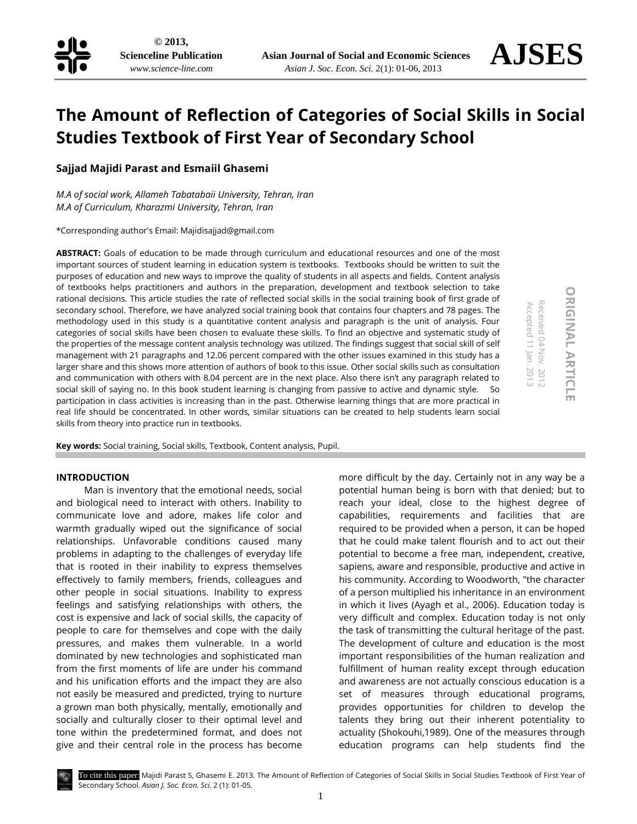

# **The Amount of Reflection of Categories of Social Skills in Social Studies Textbook of First Year of Secondary School**

**Sajjad Majidi Parast and Esmaiil Ghasemi**

*M.A of social work, Allameh Tabatabaii University, Tehran, Iran M.A of Curriculum, Kharazmi University, Tehran, Iran*

\*Corresponding author's Email[: Majidisajjad@gmail.com](mailto:Majidisajjad@gmail.com)

**ABSTRACT:** Goals of education to be made through curriculum and educational resources and one of the most important sources of student learning in education system is textbooks. Textbooks should be written to suit the purposes of education and new ways to improve the quality of students in all aspects and fields. Content analysis of textbooks helps practitioners and authors in the preparation, development and textbook selection to take rational decisions. This article studies the rate of reflected social skills in the social training book of first grade of secondary school. Therefore, we have analyzed social training book that contains four chapters and 78 pages. The methodology used in this study is a quantitative content analysis and paragraph is the unit of analysis. Four categories of social skills have been chosen to evaluate these skills. To find an objective and systematic study of the properties of the message content analysis technology was utilized. The findings suggest that social skill of self management with 21 paragraphs and 12.06 percent compared with the other issues examined in this study has a larger share and this shows more attention of authors of book to this issue. Other social skills such as consultation and communication with others with 8.04 percent are in the next place. Also there isn't any paragraph related to social skill of saying no. In this book student learning is changing from passive to active and dynamic style. So participation in class activities is increasing than in the past. Otherwise learning things that are more practical in real life should be concentrated. In other words, similar situations can be created to help students learn social skills from theory into practice run in textbooks.

**Key words:** Social training, Social skills, Textbook, Content analysis, Pupil.

### **INTRODUCTION**

Man is inventory that the emotional needs, social and biological need to interact with others. Inability to communicate love and adore, makes life color and warmth gradually wiped out the significance of social relationships. Unfavorable conditions caused many problems in adapting to the challenges of everyday life that is rooted in their inability to express themselves effectively to family members, friends, colleagues and other people in social situations. Inability to express feelings and satisfying relationships with others, the cost is expensive and lack of social skills, the capacity of people to care for themselves and cope with the daily pressures, and makes them vulnerable. In a world dominated by new technologies and sophisticated man from the first moments of life are under his command and his unification efforts and the impact they are also not easily be measured and predicted, trying to nurture a grown man both physically, mentally, emotionally and socially and culturally closer to their optimal level and tone within the predetermined format, and does not give and their central role in the process has become

more difficult by the day. Certainly not in any way be a potential human being is born with that denied; but to reach your ideal, close to the highest degree of capabilities, requirements and facilities that are required to be provided when a person, it can be hoped that he could make talent flourish and to act out their potential to become a free man, independent, creative, sapiens, aware and responsible, productive and active in his community. According to Woodworth, "the character of a person multiplied his inheritance in an environment in which it lives (Ayagh et al., 2006). Education today is very difficult and complex. Education today is not only the task of transmitting the cultural heritage of the past. The development of culture and education is the most important responsibilities of the human realization and fulfillment of human reality except through education and awareness are not actually conscious education is a set of measures through educational programs, provides opportunities for children to develop the talents they bring out their inherent potentiality to actuality (Shokouhi,1989). One of the measures through education programs can help students find the

Accepted 11 Jan. 2013 Received 04 Nov. 2012

Received 04 Nov. Accepted 11 Jan. 2013

 $-2012$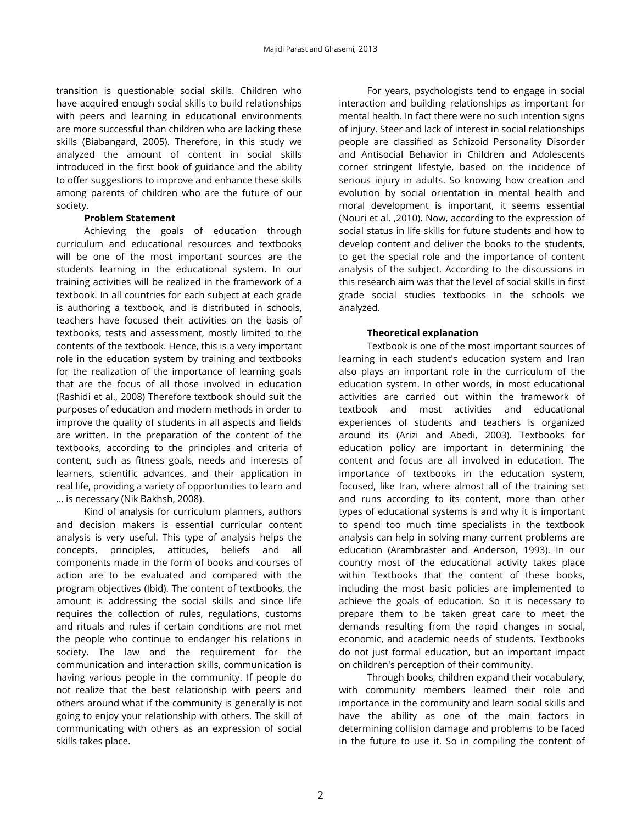transition is questionable social skills. Children who have acquired enough social skills to build relationships with peers and learning in educational environments are more successful than children who are lacking these skills (Biabangard, 2005). Therefore, in this study we analyzed the amount of content in social skills introduced in the first book of guidance and the ability to offer suggestions to improve and enhance these skills among parents of children who are the future of our society.

### **Problem Statement**

Achieving the goals of education through curriculum and educational resources and textbooks will be one of the most important sources are the students learning in the educational system. In our training activities will be realized in the framework of a textbook. In all countries for each subject at each grade is authoring a textbook, and is distributed in schools, teachers have focused their activities on the basis of textbooks, tests and assessment, mostly limited to the contents of the textbook. Hence, this is a very important role in the education system by training and textbooks for the realization of the importance of learning goals that are the focus of all those involved in education (Rashidi et al., 2008) Therefore textbook should suit the purposes of education and modern methods in order to improve the quality of students in all aspects and fields are written. In the preparation of the content of the textbooks, according to the principles and criteria of content, such as fitness goals, needs and interests of learners, scientific advances, and their application in real life, providing a variety of opportunities to learn and ... is necessary (Nik Bakhsh, 2008).

Kind of analysis for curriculum planners, authors and decision makers is essential curricular content analysis is very useful. This type of analysis helps the concepts, principles, attitudes, beliefs and all components made in the form of books and courses of action are to be evaluated and compared with the program objectives (Ibid). The content of textbooks, the amount is addressing the social skills and since life requires the collection of rules, regulations, customs and rituals and rules if certain conditions are not met the people who continue to endanger his relations in society. The law and the requirement for the communication and interaction skills, communication is having various people in the community. If people do not realize that the best relationship with peers and others around what if the community is generally is not going to enjoy your relationship with others. The skill of communicating with others as an expression of social skills takes place.

For years, psychologists tend to engage in social interaction and building relationships as important for mental health. In fact there were no such intention signs of injury. Steer and lack of interest in social relationships people are classified as Schizoid Personality Disorder and Antisocial Behavior in Children and Adolescents corner stringent lifestyle, based on the incidence of serious injury in adults. So knowing how creation and evolution by social orientation in mental health and moral development is important, it seems essential (Nouri et al. ,2010). Now, according to the expression of social status in life skills for future students and how to develop content and deliver the books to the students, to get the special role and the importance of content analysis of the subject. According to the discussions in this research aim was that the level of social skills in first grade social studies textbooks in the schools we analyzed.

## **Theoretical explanation**

Textbook is one of the most important sources of learning in each student's education system and Iran also plays an important role in the curriculum of the education system. In other words, in most educational activities are carried out within the framework of textbook and most activities and educational experiences of students and teachers is organized around its (Arizi and Abedi, 2003). Textbooks for education policy are important in determining the content and focus are all involved in education. The importance of textbooks in the education system, focused, like Iran, where almost all of the training set and runs according to its content, more than other types of educational systems is and why it is important to spend too much time specialists in the textbook analysis can help in solving many current problems are education (Arambraster and Anderson, 1993). In our country most of the educational activity takes place within Textbooks that the content of these books, including the most basic policies are implemented to achieve the goals of education. So it is necessary to prepare them to be taken great care to meet the demands resulting from the rapid changes in social, economic, and academic needs of students. Textbooks do not just formal education, but an important impact on children's perception of their community.

Through books, children expand their vocabulary, with community members learned their role and importance in the community and learn social skills and have the ability as one of the main factors in determining collision damage and problems to be faced in the future to use it. So in compiling the content of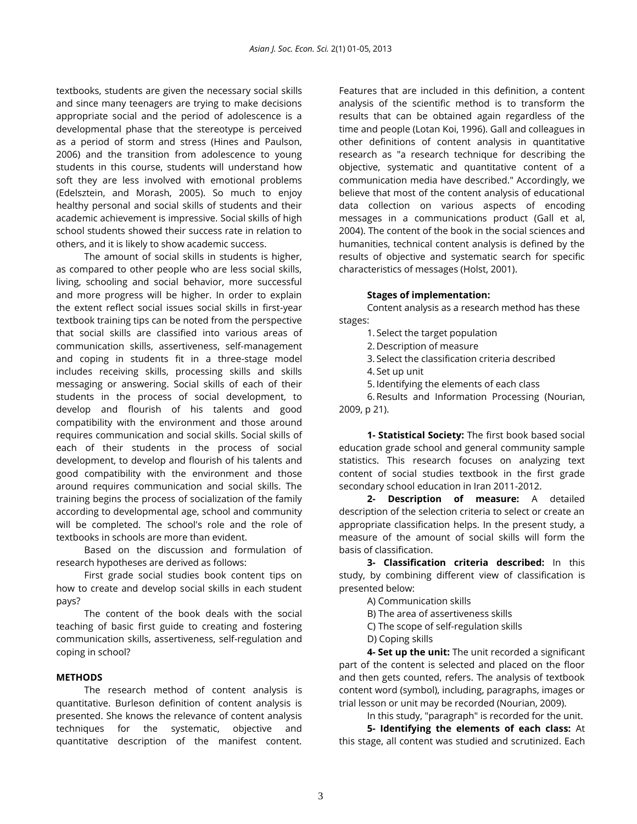textbooks, students are given the necessary social skills and since many teenagers are trying to make decisions appropriate social and the period of adolescence is a developmental phase that the stereotype is perceived as a period of storm and stress (Hines and Paulson, 2006) and the transition from adolescence to young students in this course, students will understand how soft they are less involved with emotional problems (Edelsztein, and Morash, 2005). So much to enjoy healthy personal and social skills of students and their academic achievement is impressive. Social skills of high school students showed their success rate in relation to others, and it is likely to show academic success.

The amount of social skills in students is higher, as compared to other people who are less social skills, living, schooling and social behavior, more successful and more progress will be higher. In order to explain the extent reflect social issues social skills in first-year textbook training tips can be noted from the perspective that social skills are classified into various areas of communication skills, assertiveness, self-management and coping in students fit in a three-stage model includes receiving skills, processing skills and skills messaging or answering. Social skills of each of their students in the process of social development, to develop and flourish of his talents and good compatibility with the environment and those around requires communication and social skills. Social skills of each of their students in the process of social development, to develop and flourish of his talents and good compatibility with the environment and those around requires communication and social skills. The training begins the process of socialization of the family according to developmental age, school and community will be completed. The school's role and the role of textbooks in schools are more than evident.

Based on the discussion and formulation of research hypotheses are derived as follows:

First grade social studies book content tips on how to create and develop social skills in each student pays?

The content of the book deals with the social teaching of basic first guide to creating and fostering communication skills, assertiveness, self-regulation and coping in school?

### **METHODS**

The research method of content analysis is quantitative. Burleson definition of content analysis is presented. She knows the relevance of content analysis techniques for the systematic, objective and quantitative description of the manifest content.

Features that are included in this definition, a content analysis of the scientific method is to transform the results that can be obtained again regardless of the time and people (Lotan Koi, 1996). Gall and colleagues in other definitions of content analysis in quantitative research as "a research technique for describing the objective, systematic and quantitative content of a communication media have described." Accordingly, we believe that most of the content analysis of educational data collection on various aspects of encoding messages in a communications product (Gall et al, 2004). The content of the book in the social sciences and humanities, technical content analysis is defined by the results of objective and systematic search for specific characteristics of messages (Holst, 2001).

#### **Stages of implementation:**

Content analysis as a research method has these stages:

1. Select the target population

2. Description of measure

3. Select the classification criteria described

4. Set up unit

5. Identifying the elements of each class

6. Results and Information Processing (Nourian, 2009, p 21).

**1- Statistical Society:** The first book based social education grade school and general community sample statistics. This research focuses on analyzing text content of social studies textbook in the first grade secondary school education in Iran 2011-2012.

**2- Description of measure:** A detailed description of the selection criteria to select or create an appropriate classification helps. In the present study, a measure of the amount of social skills will form the basis of classification.

**3- Classification criteria described:** In this study, by combining different view of classification is presented below:

A) Communication skills

B) The area of assertiveness skills

C) The scope of self-regulation skills

D) Coping skills

**4- Set up the unit:** The unit recorded a significant part of the content is selected and placed on the floor and then gets counted, refers. The analysis of textbook content word (symbol), including, paragraphs, images or trial lesson or unit may be recorded (Nourian, 2009).

In this study, "paragraph" is recorded for the unit.

**5- Identifying the elements of each class:** At this stage, all content was studied and scrutinized. Each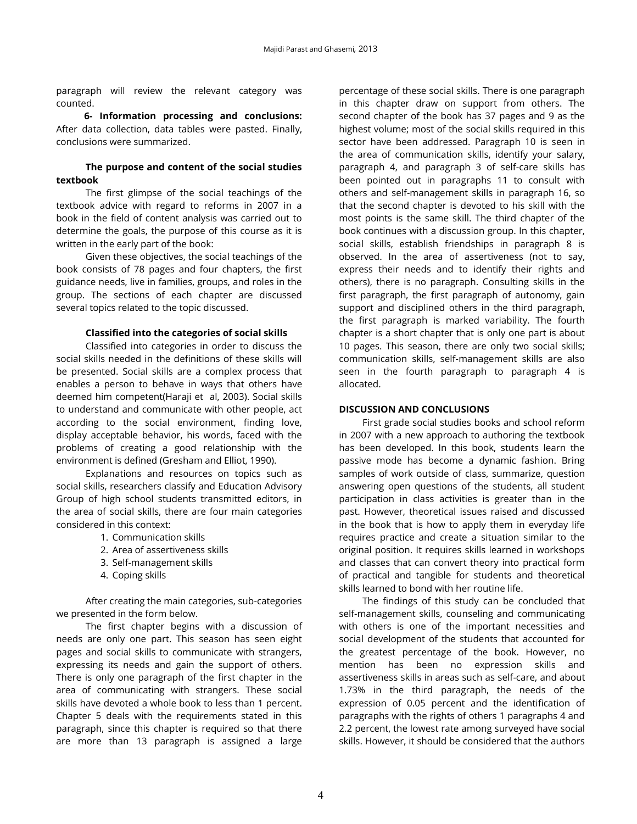paragraph will review the relevant category was counted.

**6- Information processing and conclusions:** After data collection, data tables were pasted. Finally, conclusions were summarized.

## **The purpose and content of the social studies textbook**

The first glimpse of the social teachings of the textbook advice with regard to reforms in 2007 in a book in the field of content analysis was carried out to determine the goals, the purpose of this course as it is written in the early part of the book:

Given these objectives, the social teachings of the book consists of 78 pages and four chapters, the first guidance needs, live in families, groups, and roles in the group. The sections of each chapter are discussed several topics related to the topic discussed.

#### **Classified into the categories of social skills**

Classified into categories in order to discuss the social skills needed in the definitions of these skills will be presented. Social skills are a complex process that enables a person to behave in ways that others have deemed him competent(Haraji et al, 2003). Social skills to understand and communicate with other people, act according to the social environment, finding love, display acceptable behavior, his words, faced with the problems of creating a good relationship with the environment is defined (Gresham and Elliot, 1990).

Explanations and resources on topics such as social skills, researchers classify and Education Advisory Group of high school students transmitted editors, in the area of social skills, there are four main categories considered in this context:

- 1. Communication skills
- 2. Area of assertiveness skills
- 3. Self-management skills
- 4. Coping skills

After creating the main categories, sub-categories we presented in the form below.

The first chapter begins with a discussion of needs are only one part. This season has seen eight pages and social skills to communicate with strangers, expressing its needs and gain the support of others. There is only one paragraph of the first chapter in the area of communicating with strangers. These social skills have devoted a whole book to less than 1 percent. Chapter 5 deals with the requirements stated in this paragraph, since this chapter is required so that there are more than 13 paragraph is assigned a large

percentage of these social skills. There is one paragraph in this chapter draw on support from others. The second chapter of the book has 37 pages and 9 as the highest volume; most of the social skills required in this sector have been addressed. Paragraph 10 is seen in the area of communication skills, identify your salary, paragraph 4, and paragraph 3 of self-care skills has been pointed out in paragraphs 11 to consult with others and self-management skills in paragraph 16, so that the second chapter is devoted to his skill with the most points is the same skill. The third chapter of the book continues with a discussion group. In this chapter, social skills, establish friendships in paragraph 8 is observed. In the area of assertiveness (not to say, express their needs and to identify their rights and others), there is no paragraph. Consulting skills in the first paragraph, the first paragraph of autonomy, gain support and disciplined others in the third paragraph, the first paragraph is marked variability. The fourth chapter is a short chapter that is only one part is about 10 pages. This season, there are only two social skills; communication skills, self-management skills are also seen in the fourth paragraph to paragraph 4 is allocated.

#### **DISCUSSION AND CONCLUSIONS**

First grade social studies books and school reform in 2007 with a new approach to authoring the textbook has been developed. In this book, students learn the passive mode has become a dynamic fashion. Bring samples of work outside of class, summarize, question answering open questions of the students, all student participation in class activities is greater than in the past. However, theoretical issues raised and discussed in the book that is how to apply them in everyday life requires practice and create a situation similar to the original position. It requires skills learned in workshops and classes that can convert theory into practical form of practical and tangible for students and theoretical skills learned to bond with her routine life.

The findings of this study can be concluded that self-management skills, counseling and communicating with others is one of the important necessities and social development of the students that accounted for the greatest percentage of the book. However, no mention has been no expression skills and assertiveness skills in areas such as self-care, and about 1.73% in the third paragraph, the needs of the expression of 0.05 percent and the identification of paragraphs with the rights of others 1 paragraphs 4 and 2.2 percent, the lowest rate among surveyed have social skills. However, it should be considered that the authors